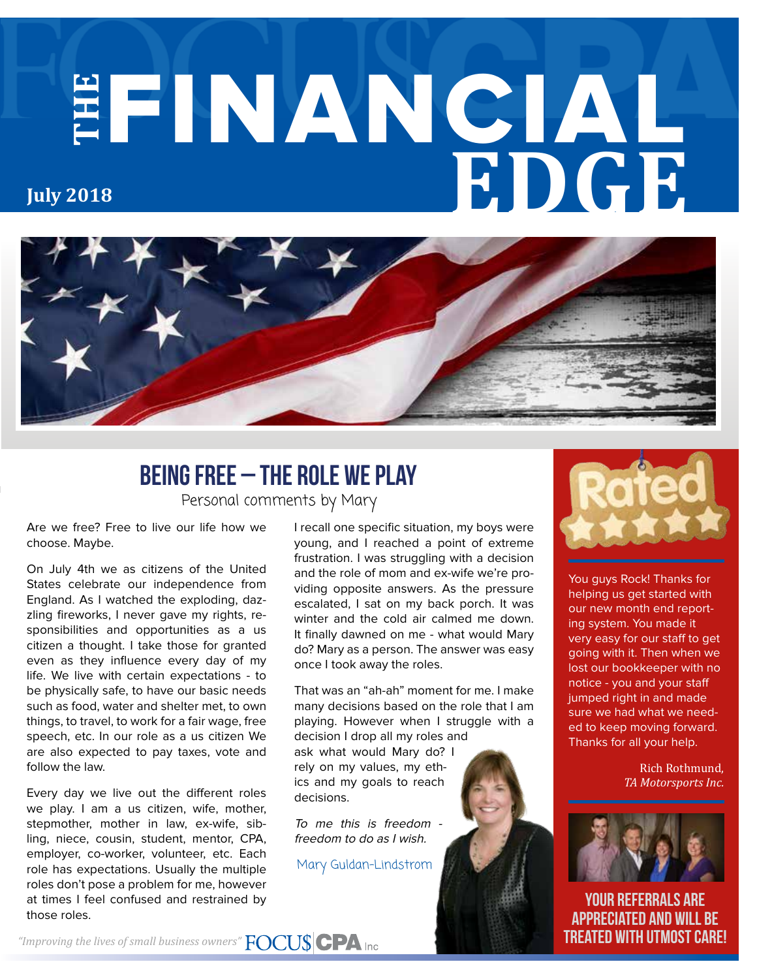# **THE** FINANCIAL **EDGE July 2018**



### Personal comments by Mary Being Free – The Role We Play

Are we free? Free to live our life how we choose. Maybe.

On July 4th we as citizens of the United States celebrate our independence from England. As I watched the exploding, dazzling fireworks, I never gave my rights, responsibilities and opportunities as a us citizen a thought. I take those for granted even as they influence every day of my life. We live with certain expectations - to be physically safe, to have our basic needs such as food, water and shelter met, to own things, to travel, to work for a fair wage, free speech, etc. In our role as a us citizen We are also expected to pay taxes, vote and follow the law.

Every day we live out the different roles we play. I am a us citizen, wife, mother, stepmother, mother in law, ex-wife, sibling, niece, cousin, student, mentor, CPA, employer, co-worker, volunteer, etc. Each role has expectations. Usually the multiple roles don't pose a problem for me, however at times I feel confused and restrained by those roles.

I recall one specific situation, my boys were young, and I reached a point of extreme frustration. I was struggling with a decision and the role of mom and ex-wife we're providing opposite answers. As the pressure escalated, I sat on my back porch. It was winter and the cold air calmed me down. It finally dawned on me - what would Mary do? Mary as a person. The answer was easy once I took away the roles.

That was an "ah-ah" moment for me. I make many decisions based on the role that I am playing. However when I struggle with a decision I drop all my roles and ask what would Mary do? I rely on my values, my ethics and my goals to reach decisions.

To me this is freedom freedom to do as I wish.

Mary Guldan-Lindstrom



You guys Rock! Thanks for helping us get started with our new month end reporting system. You made it very easy for our staff to get going with it. Then when we lost our bookkeeper with no notice - you and your staff jumped right in and made sure we had what we needed to keep moving forward. Thanks for all your help.

> Rich Rothmund, *TA Motorsports Inc.*



your referrals are appreciated and will be treated with utmost care!

*"Improving the lives of small business owners"*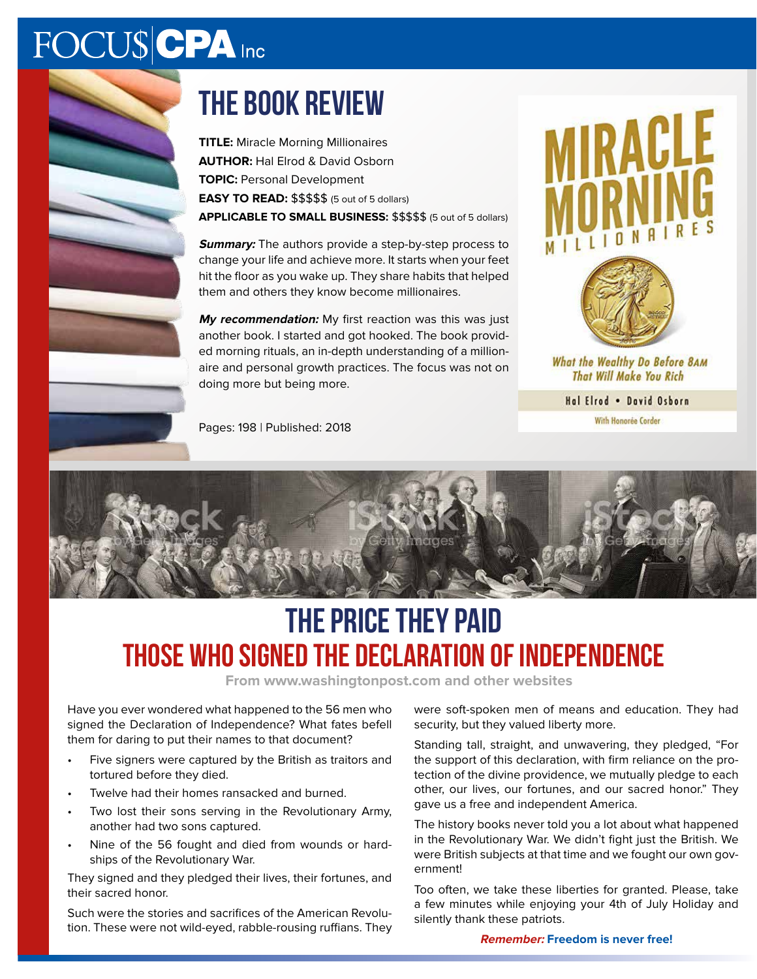## FOCUS CPA Inc

## the book review

**TITLE:** Miracle Morning Millionaires **AUTHOR:** Hal Elrod & David Osborn **TOPIC:** Personal Development **EASY TO READ:** \$\$\$\$\$ (5 out of 5 dollars) **APPLICABLE TO SMALL BUSINESS:** \$\$\$\$\$ (5 out of 5 dollars)

**Summary:** The authors provide a step-by-step process to change your life and achieve more. It starts when your feet hit the floor as you wake up. They share habits that helped them and others they know become millionaires.

**My recommendation:** My first reaction was this was just another book. I started and got hooked. The book provided morning rituals, an in-depth understanding of a millionaire and personal growth practices. The focus was not on doing more but being more.





IRACL

What the Wealthy Do Before 8AM **That Will Make You Rich** 

Hal Elrod . David Osborn

With Honorée Corder



## The Price They Paid Those who signed the Declaration of Independence

**From www.washingtonpost.com and other websites**

Have you ever wondered what happened to the 56 men who signed the Declaration of Independence? What fates befell them for daring to put their names to that document?

- Five signers were captured by the British as traitors and tortured before they died.
- Twelve had their homes ransacked and burned.
- Two lost their sons serving in the Revolutionary Army, another had two sons captured.
- Nine of the 56 fought and died from wounds or hardships of the Revolutionary War.

They signed and they pledged their lives, their fortunes, and their sacred honor.

Such were the stories and sacrifices of the American Revolution. These were not wild-eyed, rabble-rousing ruffians. They were soft-spoken men of means and education. They had security, but they valued liberty more.

Standing tall, straight, and unwavering, they pledged, "For the support of this declaration, with firm reliance on the protection of the divine providence, we mutually pledge to each other, our lives, our fortunes, and our sacred honor." They gave us a free and independent America.

The history books never told you a lot about what happened in the Revolutionary War. We didn't fight just the British. We were British subjects at that time and we fought our own government!

Too often, we take these liberties for granted. Please, take a few minutes while enjoying your 4th of July Holiday and silently thank these patriots.

**Remember: Freedom is never free!**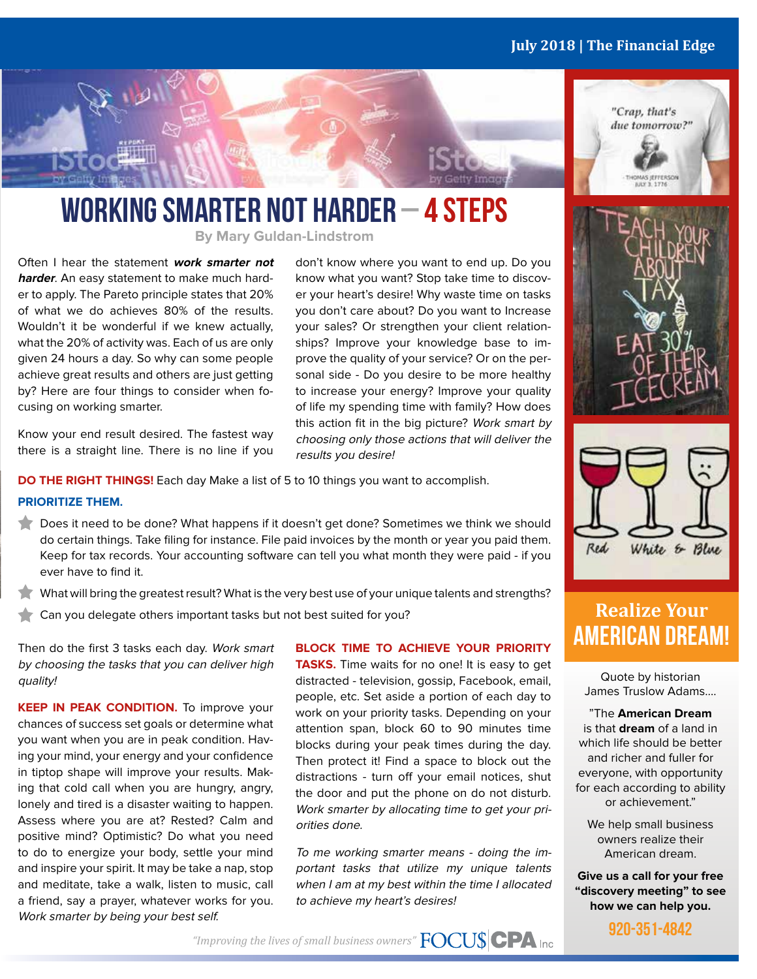#### **July 2018 | The Financial Edge**





### WORKING SMARTER NOT HARDER – 4 STEPS

**By Mary Guldan-Lindstrom**

Often I hear the statement **work smarter not harder**. An easy statement to make much harder to apply. The Pareto principle states that 20% of what we do achieves 80% of the results. Wouldn't it be wonderful if we knew actually, what the 20% of activity was. Each of us are only given 24 hours a day. So why can some people achieve great results and others are just getting by? Here are four things to consider when focusing on working smarter.

Know your end result desired. The fastest way there is a straight line. There is no line if you don't know where you want to end up. Do you know what you want? Stop take time to discover your heart's desire! Why waste time on tasks you don't care about? Do you want to Increase your sales? Or strengthen your client relationships? Improve your knowledge base to improve the quality of your service? Or on the personal side - Do you desire to be more healthy to increase your energy? Improve your quality of life my spending time with family? How does this action fit in the big picture? Work smart by choosing only those actions that will deliver the results you desire!

**DO THE RIGHT THINGS!** Each day Make a list of 5 to 10 things you want to accomplish.

#### **PRIORITIZE THEM.**

- Does it need to be done? What happens if it doesn't get done? Sometimes we think we should do certain things. Take filing for instance. File paid invoices by the month or year you paid them. Keep for tax records. Your accounting software can tell you what month they were paid - if you ever have to find it.
- What will bring the greatest result? What is the very best use of your unique talents and strengths?
- Can you delegate others important tasks but not best suited for you?

Then do the first 3 tasks each day. Work smart by choosing the tasks that you can deliver high quality!

**KEEP IN PEAK CONDITION.** To improve your chances of success set goals or determine what you want when you are in peak condition. Having your mind, your energy and your confidence in tiptop shape will improve your results. Making that cold call when you are hungry, angry, lonely and tired is a disaster waiting to happen. Assess where you are at? Rested? Calm and positive mind? Optimistic? Do what you need to do to energize your body, settle your mind and inspire your spirit. It may be take a nap, stop and meditate, take a walk, listen to music, call a friend, say a prayer, whatever works for you. Work smarter by being your best self.

#### **BLOCK TIME TO ACHIEVE YOUR PRIORITY**

**TASKS.** Time waits for no one! It is easy to get distracted - television, gossip, Facebook, email, people, etc. Set aside a portion of each day to work on your priority tasks. Depending on your attention span, block 60 to 90 minutes time blocks during your peak times during the day. Then protect it! Find a space to block out the distractions - turn off your email notices, shut the door and put the phone on do not disturb. Work smarter by allocating time to get your priorities done.

To me working smarter means - doing the important tasks that utilize my unique talents when I am at my best within the time I allocated to achieve my heart's desires!





### **Realize Your** AMERICAN DREAM!

Quote by historian James Truslow Adams….

"The **American Dream** is that **dream** of a land in which life should be better and richer and fuller for everyone, with opportunity for each according to ability or achievement."

We help small business owners realize their American dream.

**Give us a call for your free "discovery meeting" to see how we can help you.**



*"Improving the lives of small business owners"*